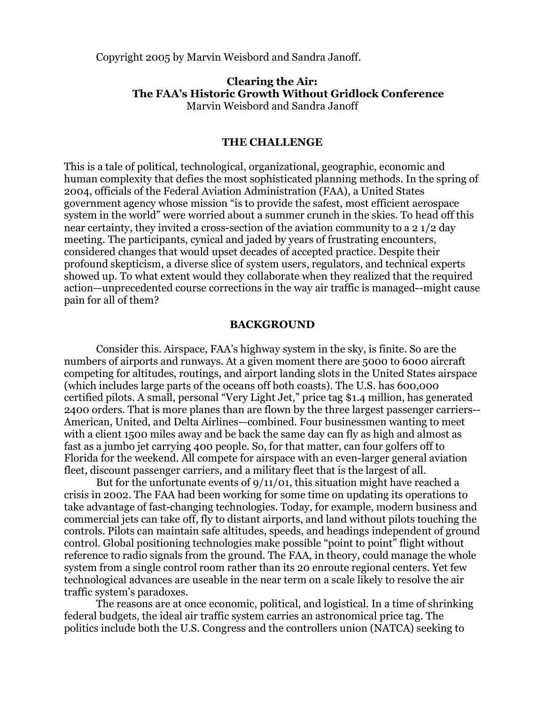Copyright 2005 by Marvin Weisbord and Sandra Janoff.

**Clearing the Air: The FAA's Historic Growth Without Gridlock Conference** Marvin Weisbord and Sandra Janoff

### **THE CHALLENGE**

This is a tale of political, technological, organizational, geographic, economic and human complexity that defies the most sophisticated planning methods. In the spring of 2004, officials of the Federal Aviation Administration (FAA), a United States government agency whose mission "is to provide the safest, most efficient aerospace system in the world" were worried about a summer crunch in the skies. To head off this near certainty, they invited a cross-section of the aviation community to a 2 1/2 day meeting. The participants, cynical and jaded by years of frustrating encounters, considered changes that would upset decades of accepted practice. Despite their profound skepticism, a diverse slice of system users, regulators, and technical experts showed up. To what extent would they collaborate when they realized that the required action—unprecedented course corrections in the way air traffic is managed--might cause pain for all of them?

### **BACKGROUND**

Consider this. Airspace, FAA's highway system in the sky, is finite. So are the numbers of airports and runways. At a given moment there are 5000 to 6000 aircraft competing for altitudes, routings, and airport landing slots in the United States airspace (which includes large parts of the oceans off both coasts). The U.S. has 600,000 certified pilots. A small, personal "Very Light Jet," price tag \$1.4 million, has generated 2400 orders. That is more planes than are flown by the three largest passenger carriers-- American, United, and Delta Airlines—combined. Four businessmen wanting to meet with a client 1500 miles away and be back the same day can fly as high and almost as fast as a jumbo jet carrying 400 people. So, for that matter, can four golfers off to Florida for the weekend. All compete for airspace with an even-larger general aviation fleet, discount passenger carriers, and a military fleet that is the largest of all.

But for the unfortunate events of  $9/11/01$ , this situation might have reached a crisis in 2002. The FAA had been working for some time on updating its operations to take advantage of fast-changing technologies. Today, for example, modern business and commercial jets can take off, fly to distant airports, and land without pilots touching the controls. Pilots can maintain safe altitudes, speeds, and headings independent of ground control. Global positioning technologies make possible "point to point" flight without reference to radio signals from the ground. The FAA, in theory, could manage the whole system from a single control room rather than its 20 enroute regional centers. Yet few technological advances are useable in the near term on a scale likely to resolve the air traffic system's paradoxes.

The reasons are at once economic, political, and logistical. In a time of shrinking federal budgets, the ideal air traffic system carries an astronomical price tag. The politics include both the U.S. Congress and the controllers union (NATCA) seeking to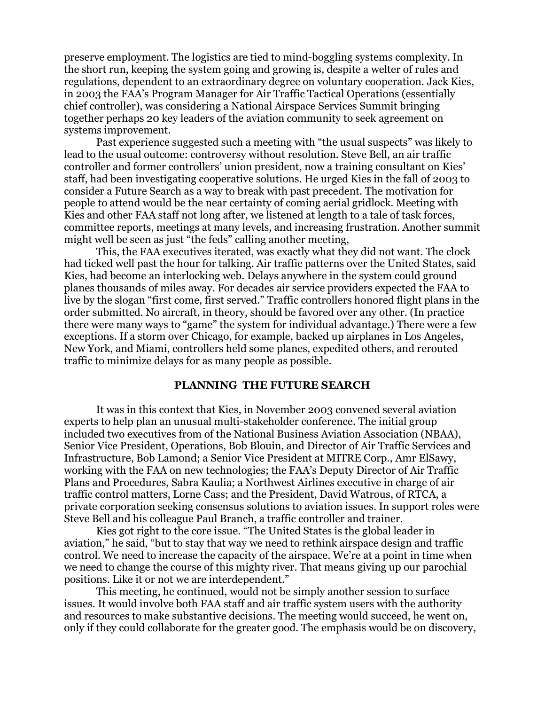preserve employment. The logistics are tied to mind-boggling systems complexity. In the short run, keeping the system going and growing is, despite a welter of rules and regulations, dependent to an extraordinary degree on voluntary cooperation. Jack Kies, in 2003 the FAA's Program Manager for Air Traffic Tactical Operations (essentially chief controller), was considering a National Airspace Services Summit bringing together perhaps 20 key leaders of the aviation community to seek agreement on systems improvement.

Past experience suggested such a meeting with "the usual suspects" was likely to lead to the usual outcome: controversy without resolution. Steve Bell, an air traffic controller and former controllers' union president, now a training consultant on Kies' staff, had been investigating cooperative solutions. He urged Kies in the fall of 2003 to consider a Future Search as a way to break with past precedent. The motivation for people to attend would be the near certainty of coming aerial gridlock. Meeting with Kies and other FAA staff not long after, we listened at length to a tale of task forces, committee reports, meetings at many levels, and increasing frustration. Another summit might well be seen as just "the feds" calling another meeting,

This, the FAA executives iterated, was exactly what they did not want. The clock had ticked well past the hour for talking. Air traffic patterns over the United States, said Kies, had become an interlocking web. Delays anywhere in the system could ground planes thousands of miles away. For decades air service providers expected the FAA to live by the slogan "first come, first served." Traffic controllers honored flight plans in the order submitted. No aircraft, in theory, should be favored over any other. (In practice there were many ways to "game" the system for individual advantage.) There were a few exceptions. If a storm over Chicago, for example, backed up airplanes in Los Angeles, New York, and Miami, controllers held some planes, expedited others, and rerouted traffic to minimize delays for as many people as possible.

## **PLANNING THE FUTURE SEARCH**

It was in this context that Kies, in November 2003 convened several aviation experts to help plan an unusual multi-stakeholder conference. The initial group included two executives from of the National Business Aviation Association (NBAA), Senior Vice President, Operations, Bob Blouin, and Director of Air Traffic Services and Infrastructure, Bob Lamond; a Senior Vice President at MITRE Corp., Amr ElSawy, working with the FAA on new technologies; the FAA's Deputy Director of Air Traffic Plans and Procedures, Sabra Kaulia; a Northwest Airlines executive in charge of air traffic control matters, Lorne Cass; and the President, David Watrous, of RTCA, a private corporation seeking consensus solutions to aviation issues. In support roles were Steve Bell and his colleague Paul Branch, a traffic controller and trainer.

Kies got right to the core issue. "The United States is the global leader in aviation," he said, "but to stay that way we need to rethink airspace design and traffic control. We need to increase the capacity of the airspace. We're at a point in time when we need to change the course of this mighty river. That means giving up our parochial positions. Like it or not we are interdependent."

This meeting, he continued, would not be simply another session to surface issues. It would involve both FAA staff and air traffic system users with the authority and resources to make substantive decisions. The meeting would succeed, he went on, only if they could collaborate for the greater good. The emphasis would be on discovery,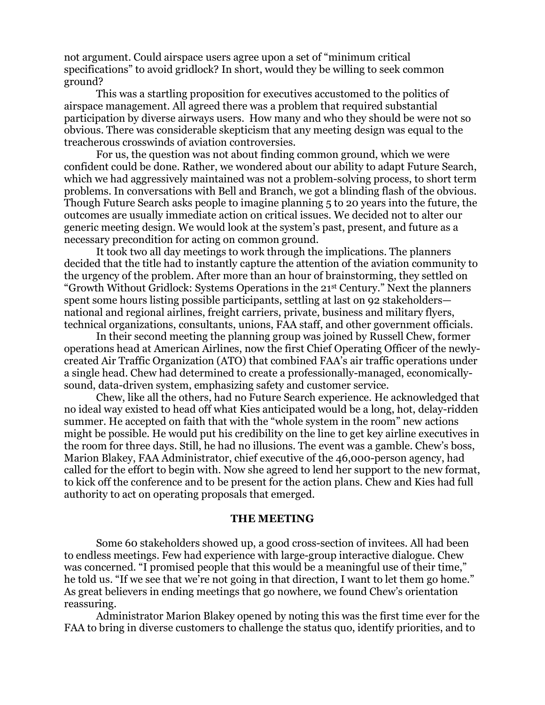not argument. Could airspace users agree upon a set of "minimum critical specifications" to avoid gridlock? In short, would they be willing to seek common ground?

This was a startling proposition for executives accustomed to the politics of airspace management. All agreed there was a problem that required substantial participation by diverse airways users. How many and who they should be were not so obvious. There was considerable skepticism that any meeting design was equal to the treacherous crosswinds of aviation controversies.

For us, the question was not about finding common ground, which we were confident could be done. Rather, we wondered about our ability to adapt Future Search, which we had aggressively maintained was not a problem-solving process, to short term problems. In conversations with Bell and Branch, we got a blinding flash of the obvious. Though Future Search asks people to imagine planning 5 to 20 years into the future, the outcomes are usually immediate action on critical issues. We decided not to alter our generic meeting design. We would look at the system's past, present, and future as a necessary precondition for acting on common ground.

It took two all day meetings to work through the implications. The planners decided that the title had to instantly capture the attention of the aviation community to the urgency of the problem. After more than an hour of brainstorming, they settled on "Growth Without Gridlock: Systems Operations in the 21st Century." Next the planners spent some hours listing possible participants, settling at last on 92 stakeholders national and regional airlines, freight carriers, private, business and military flyers, technical organizations, consultants, unions, FAA staff, and other government officials.

In their second meeting the planning group was joined by Russell Chew, former operations head at American Airlines, now the first Chief Operating Officer of the newlycreated Air Traffic Organization (ATO) that combined FAA's air traffic operations under a single head. Chew had determined to create a professionally-managed, economicallysound, data-driven system, emphasizing safety and customer service.

Chew, like all the others, had no Future Search experience. He acknowledged that no ideal way existed to head off what Kies anticipated would be a long, hot, delay-ridden summer. He accepted on faith that with the "whole system in the room" new actions might be possible. He would put his credibility on the line to get key airline executives in the room for three days. Still, he had no illusions. The event was a gamble. Chew's boss, Marion Blakey, FAA Administrator, chief executive of the 46,000-person agency, had called for the effort to begin with. Now she agreed to lend her support to the new format, to kick off the conference and to be present for the action plans. Chew and Kies had full authority to act on operating proposals that emerged.

### **THE MEETING**

Some 60 stakeholders showed up, a good cross-section of invitees. All had been to endless meetings. Few had experience with large-group interactive dialogue. Chew was concerned. "I promised people that this would be a meaningful use of their time," he told us. "If we see that we're not going in that direction, I want to let them go home." As great believers in ending meetings that go nowhere, we found Chew's orientation reassuring.

Administrator Marion Blakey opened by noting this was the first time ever for the FAA to bring in diverse customers to challenge the status quo, identify priorities, and to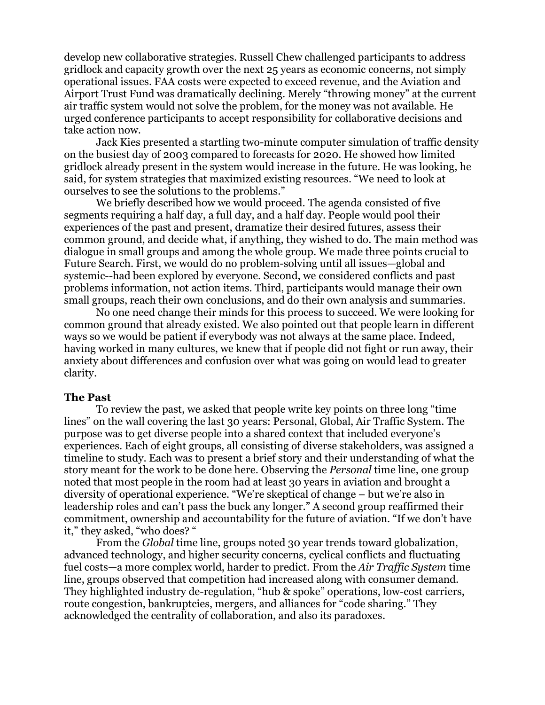develop new collaborative strategies. Russell Chew challenged participants to address gridlock and capacity growth over the next 25 years as economic concerns, not simply operational issues. FAA costs were expected to exceed revenue, and the Aviation and Airport Trust Fund was dramatically declining. Merely "throwing money" at the current air traffic system would not solve the problem, for the money was not available. He urged conference participants to accept responsibility for collaborative decisions and take action now.

Jack Kies presented a startling two-minute computer simulation of traffic density on the busiest day of 2003 compared to forecasts for 2020. He showed how limited gridlock already present in the system would increase in the future. He was looking, he said, for system strategies that maximized existing resources. "We need to look at ourselves to see the solutions to the problems."

We briefly described how we would proceed. The agenda consisted of five segments requiring a half day, a full day, and a half day. People would pool their experiences of the past and present, dramatize their desired futures, assess their common ground, and decide what, if anything, they wished to do. The main method was dialogue in small groups and among the whole group. We made three points crucial to Future Search. First, we would do no problem-solving until all issues—global and systemic--had been explored by everyone. Second, we considered conflicts and past problems information, not action items. Third, participants would manage their own small groups, reach their own conclusions, and do their own analysis and summaries.

No one need change their minds for this process to succeed. We were looking for common ground that already existed. We also pointed out that people learn in different ways so we would be patient if everybody was not always at the same place. Indeed, having worked in many cultures, we knew that if people did not fight or run away, their anxiety about differences and confusion over what was going on would lead to greater clarity.

### **The Past**

To review the past, we asked that people write key points on three long "time lines" on the wall covering the last 30 years: Personal, Global, Air Traffic System. The purpose was to get diverse people into a shared context that included everyone's experiences. Each of eight groups, all consisting of diverse stakeholders, was assigned a timeline to study. Each was to present a brief story and their understanding of what the story meant for the work to be done here. Observing the *Personal* time line, one group noted that most people in the room had at least 30 years in aviation and brought a diversity of operational experience. "We're skeptical of change – but we're also in leadership roles and can't pass the buck any longer." A second group reaffirmed their commitment, ownership and accountability for the future of aviation. "If we don't have it," they asked, "who does? "

From the *Global* time line, groups noted 30 year trends toward globalization, advanced technology, and higher security concerns, cyclical conflicts and fluctuating fuel costs—a more complex world, harder to predict. From the *Air Traffic System* time line, groups observed that competition had increased along with consumer demand. They highlighted industry de-regulation, "hub & spoke" operations, low-cost carriers, route congestion, bankruptcies, mergers, and alliances for "code sharing." They acknowledged the centrality of collaboration, and also its paradoxes.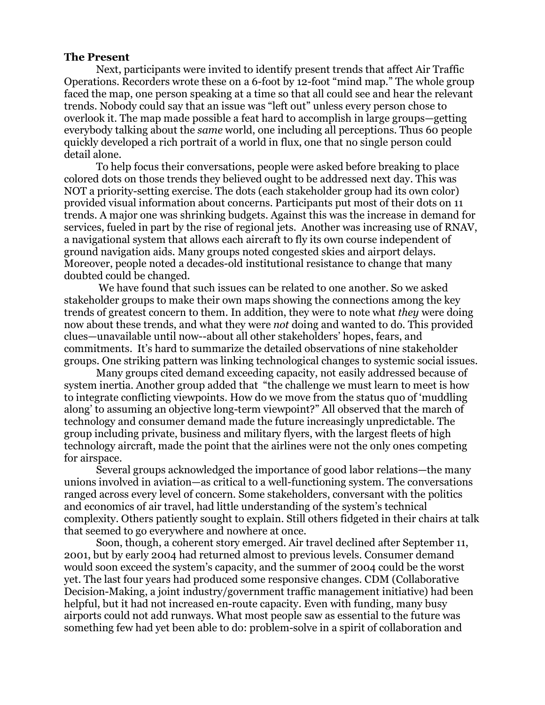### **The Present**

Next, participants were invited to identify present trends that affect Air Traffic Operations. Recorders wrote these on a 6-foot by 12-foot "mind map." The whole group faced the map, one person speaking at a time so that all could see and hear the relevant trends. Nobody could say that an issue was "left out" unless every person chose to overlook it. The map made possible a feat hard to accomplish in large groups—getting everybody talking about the *same* world, one including all perceptions. Thus 60 people quickly developed a rich portrait of a world in flux, one that no single person could detail alone.

To help focus their conversations, people were asked before breaking to place colored dots on those trends they believed ought to be addressed next day. This was NOT a priority-setting exercise. The dots (each stakeholder group had its own color) provided visual information about concerns. Participants put most of their dots on 11 trends. A major one was shrinking budgets. Against this was the increase in demand for services, fueled in part by the rise of regional jets. Another was increasing use of RNAV, a navigational system that allows each aircraft to fly its own course independent of ground navigation aids. Many groups noted congested skies and airport delays. Moreover, people noted a decades-old institutional resistance to change that many doubted could be changed.

We have found that such issues can be related to one another. So we asked stakeholder groups to make their own maps showing the connections among the key trends of greatest concern to them. In addition, they were to note what *they* were doing now about these trends, and what they were *not* doing and wanted to do. This provided clues—unavailable until now--about all other stakeholders' hopes, fears, and commitments. It's hard to summarize the detailed observations of nine stakeholder groups. One striking pattern was linking technological changes to systemic social issues.

Many groups cited demand exceeding capacity, not easily addressed because of system inertia. Another group added that "the challenge we must learn to meet is how to integrate conflicting viewpoints. How do we move from the status quo of 'muddling along' to assuming an objective long-term viewpoint?" All observed that the march of technology and consumer demand made the future increasingly unpredictable. The group including private, business and military flyers, with the largest fleets of high technology aircraft, made the point that the airlines were not the only ones competing for airspace.

Several groups acknowledged the importance of good labor relations—the many unions involved in aviation—as critical to a well-functioning system. The conversations ranged across every level of concern. Some stakeholders, conversant with the politics and economics of air travel, had little understanding of the system's technical complexity. Others patiently sought to explain. Still others fidgeted in their chairs at talk that seemed to go everywhere and nowhere at once.

Soon, though, a coherent story emerged. Air travel declined after September 11, 2001, but by early 2004 had returned almost to previous levels. Consumer demand would soon exceed the system's capacity, and the summer of 2004 could be the worst yet. The last four years had produced some responsive changes. CDM (Collaborative Decision-Making, a joint industry/government traffic management initiative) had been helpful, but it had not increased en-route capacity. Even with funding, many busy airports could not add runways. What most people saw as essential to the future was something few had yet been able to do: problem-solve in a spirit of collaboration and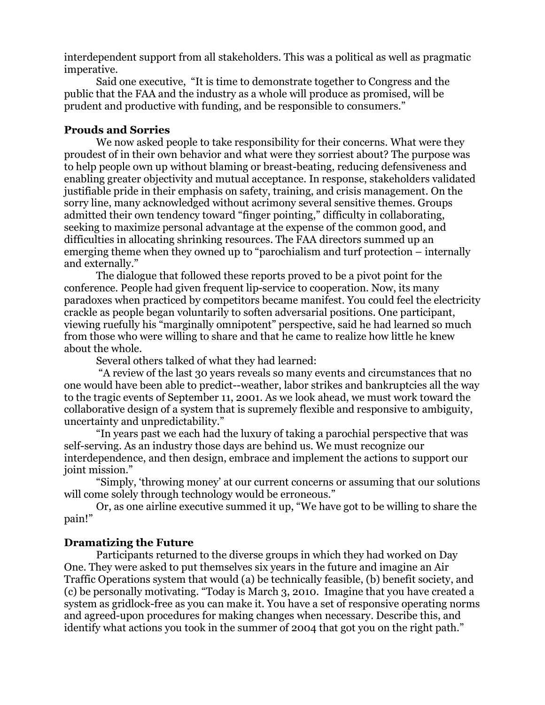interdependent support from all stakeholders. This was a political as well as pragmatic imperative.

Said one executive, "It is time to demonstrate together to Congress and the public that the FAA and the industry as a whole will produce as promised, will be prudent and productive with funding, and be responsible to consumers."

# **Prouds and Sorries**

We now asked people to take responsibility for their concerns. What were they proudest of in their own behavior and what were they sorriest about? The purpose was to help people own up without blaming or breast-beating, reducing defensiveness and enabling greater objectivity and mutual acceptance. In response, stakeholders validated justifiable pride in their emphasis on safety, training, and crisis management. On the sorry line, many acknowledged without acrimony several sensitive themes. Groups admitted their own tendency toward "finger pointing," difficulty in collaborating, seeking to maximize personal advantage at the expense of the common good, and difficulties in allocating shrinking resources. The FAA directors summed up an emerging theme when they owned up to "parochialism and turf protection – internally and externally."

The dialogue that followed these reports proved to be a pivot point for the conference. People had given frequent lip-service to cooperation. Now, its many paradoxes when practiced by competitors became manifest. You could feel the electricity crackle as people began voluntarily to soften adversarial positions. One participant, viewing ruefully his "marginally omnipotent" perspective, said he had learned so much from those who were willing to share and that he came to realize how little he knew about the whole.

Several others talked of what they had learned:

"A review of the last 30 years reveals so many events and circumstances that no one would have been able to predict--weather, labor strikes and bankruptcies all the way to the tragic events of September 11, 2001. As we look ahead, we must work toward the collaborative design of a system that is supremely flexible and responsive to ambiguity, uncertainty and unpredictability."

"In years past we each had the luxury of taking a parochial perspective that was self-serving. As an industry those days are behind us. We must recognize our interdependence, and then design, embrace and implement the actions to support our joint mission."

"Simply, 'throwing money' at our current concerns or assuming that our solutions will come solely through technology would be erroneous."

Or, as one airline executive summed it up, "We have got to be willing to share the pain!"

# **Dramatizing the Future**

Participants returned to the diverse groups in which they had worked on Day One. They were asked to put themselves six years in the future and imagine an Air Traffic Operations system that would (a) be technically feasible, (b) benefit society, and (c) be personally motivating. "Today is March 3, 2010. Imagine that you have created a system as gridlock-free as you can make it. You have a set of responsive operating norms and agreed-upon procedures for making changes when necessary. Describe this, and identify what actions you took in the summer of 2004 that got you on the right path."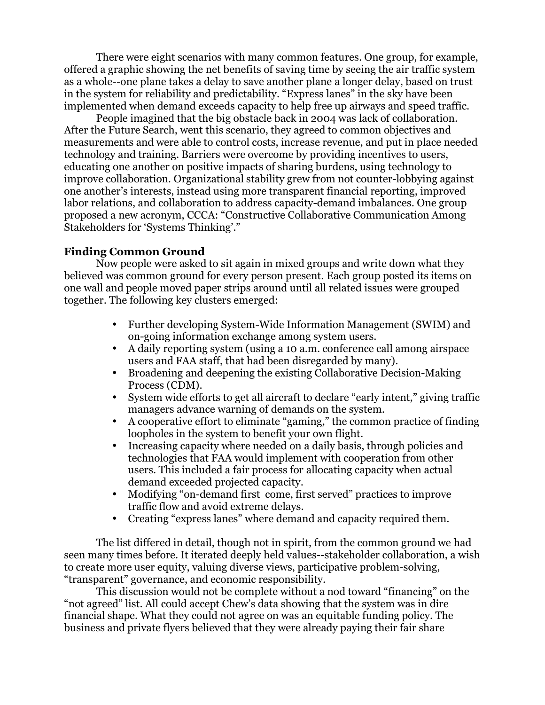There were eight scenarios with many common features. One group, for example, offered a graphic showing the net benefits of saving time by seeing the air traffic system as a whole--one plane takes a delay to save another plane a longer delay, based on trust in the system for reliability and predictability. "Express lanes" in the sky have been implemented when demand exceeds capacity to help free up airways and speed traffic.

People imagined that the big obstacle back in 2004 was lack of collaboration. After the Future Search, went this scenario, they agreed to common objectives and measurements and were able to control costs, increase revenue, and put in place needed technology and training. Barriers were overcome by providing incentives to users, educating one another on positive impacts of sharing burdens, using technology to improve collaboration. Organizational stability grew from not counter-lobbying against one another's interests, instead using more transparent financial reporting, improved labor relations, and collaboration to address capacity-demand imbalances. One group proposed a new acronym, CCCA: "Constructive Collaborative Communication Among Stakeholders for 'Systems Thinking'."

# **Finding Common Ground**

Now people were asked to sit again in mixed groups and write down what they believed was common ground for every person present. Each group posted its items on one wall and people moved paper strips around until all related issues were grouped together. The following key clusters emerged:

- Further developing System-Wide Information Management (SWIM) and on-going information exchange among system users.
- A daily reporting system (using a 10 a.m. conference call among airspace users and FAA staff, that had been disregarded by many).
- Broadening and deepening the existing Collaborative Decision-Making Process (CDM).
- System wide efforts to get all aircraft to declare "early intent," giving traffic managers advance warning of demands on the system.
- A cooperative effort to eliminate "gaming," the common practice of finding loopholes in the system to benefit your own flight.
- Increasing capacity where needed on a daily basis, through policies and technologies that FAA would implement with cooperation from other users. This included a fair process for allocating capacity when actual demand exceeded projected capacity.
- Modifying "on-demand first come, first served" practices to improve traffic flow and avoid extreme delays.
- Creating "express lanes" where demand and capacity required them.

The list differed in detail, though not in spirit, from the common ground we had seen many times before. It iterated deeply held values--stakeholder collaboration, a wish to create more user equity, valuing diverse views, participative problem-solving, "transparent" governance, and economic responsibility.

This discussion would not be complete without a nod toward "financing" on the "not agreed" list. All could accept Chew's data showing that the system was in dire financial shape. What they could not agree on was an equitable funding policy. The business and private flyers believed that they were already paying their fair share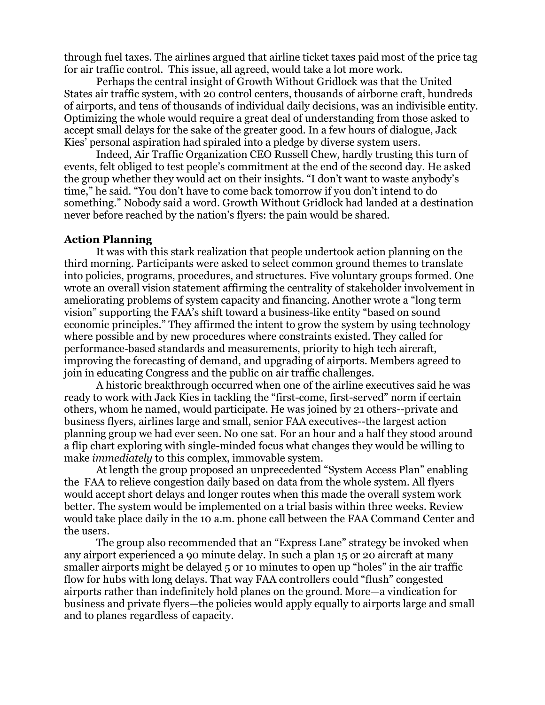through fuel taxes. The airlines argued that airline ticket taxes paid most of the price tag for air traffic control. This issue, all agreed, would take a lot more work.

Perhaps the central insight of Growth Without Gridlock was that the United States air traffic system, with 20 control centers, thousands of airborne craft, hundreds of airports, and tens of thousands of individual daily decisions, was an indivisible entity. Optimizing the whole would require a great deal of understanding from those asked to accept small delays for the sake of the greater good. In a few hours of dialogue, Jack Kies' personal aspiration had spiraled into a pledge by diverse system users.

Indeed, Air Traffic Organization CEO Russell Chew, hardly trusting this turn of events, felt obliged to test people's commitment at the end of the second day. He asked the group whether they would act on their insights. "I don't want to waste anybody's time," he said. "You don't have to come back tomorrow if you don't intend to do something." Nobody said a word. Growth Without Gridlock had landed at a destination never before reached by the nation's flyers: the pain would be shared.

### **Action Planning**

It was with this stark realization that people undertook action planning on the third morning. Participants were asked to select common ground themes to translate into policies, programs, procedures, and structures. Five voluntary groups formed. One wrote an overall vision statement affirming the centrality of stakeholder involvement in ameliorating problems of system capacity and financing. Another wrote a "long term vision" supporting the FAA's shift toward a business-like entity "based on sound economic principles." They affirmed the intent to grow the system by using technology where possible and by new procedures where constraints existed. They called for performance-based standards and measurements, priority to high tech aircraft, improving the forecasting of demand, and upgrading of airports. Members agreed to join in educating Congress and the public on air traffic challenges.

A historic breakthrough occurred when one of the airline executives said he was ready to work with Jack Kies in tackling the "first-come, first-served" norm if certain others, whom he named, would participate. He was joined by 21 others--private and business flyers, airlines large and small, senior FAA executives--the largest action planning group we had ever seen. No one sat. For an hour and a half they stood around a flip chart exploring with single-minded focus what changes they would be willing to make *immediately* to this complex, immovable system.

At length the group proposed an unprecedented "System Access Plan" enabling the FAA to relieve congestion daily based on data from the whole system. All flyers would accept short delays and longer routes when this made the overall system work better. The system would be implemented on a trial basis within three weeks. Review would take place daily in the 10 a.m. phone call between the FAA Command Center and the users.

The group also recommended that an "Express Lane" strategy be invoked when any airport experienced a 90 minute delay. In such a plan 15 or 20 aircraft at many smaller airports might be delayed 5 or 10 minutes to open up "holes" in the air traffic flow for hubs with long delays. That way FAA controllers could "flush" congested airports rather than indefinitely hold planes on the ground. More—a vindication for business and private flyers—the policies would apply equally to airports large and small and to planes regardless of capacity.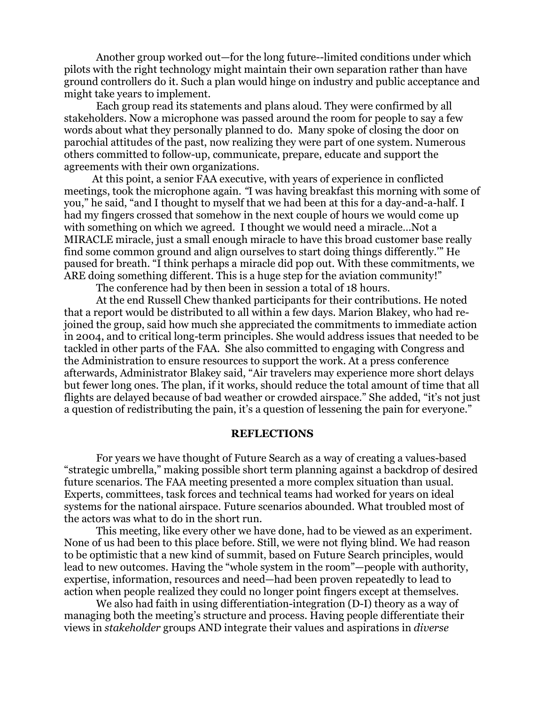Another group worked out—for the long future--limited conditions under which pilots with the right technology might maintain their own separation rather than have ground controllers do it. Such a plan would hinge on industry and public acceptance and might take years to implement.

Each group read its statements and plans aloud. They were confirmed by all stakeholders. Now a microphone was passed around the room for people to say a few words about what they personally planned to do. Many spoke of closing the door on parochial attitudes of the past, now realizing they were part of one system. Numerous others committed to follow-up, communicate, prepare, educate and support the agreements with their own organizations.

At this point, a senior FAA executive, with years of experience in conflicted meetings, took the microphone again. *"*I was having breakfast this morning with some of you," he said, "and I thought to myself that we had been at this for a day-and-a-half. I had my fingers crossed that somehow in the next couple of hours we would come up with something on which we agreed. I thought we would need a miracle... Not a MIRACLE miracle, just a small enough miracle to have this broad customer base really find some common ground and align ourselves to start doing things differently.'" He paused for breath. "I think perhaps a miracle did pop out. With these commitments, we ARE doing something different. This is a huge step for the aviation community!"

The conference had by then been in session a total of 18 hours.

At the end Russell Chew thanked participants for their contributions. He noted that a report would be distributed to all within a few days. Marion Blakey, who had rejoined the group, said how much she appreciated the commitments to immediate action in 2004, and to critical long-term principles. She would address issues that needed to be tackled in other parts of the FAA. She also committed to engaging with Congress and the Administration to ensure resources to support the work. At a press conference afterwards, Administrator Blakey said, "Air travelers may experience more short delays but fewer long ones. The plan, if it works, should reduce the total amount of time that all flights are delayed because of bad weather or crowded airspace." She added, "it's not just a question of redistributing the pain, it's a question of lessening the pain for everyone."

#### **REFLECTIONS**

For years we have thought of Future Search as a way of creating a values-based "strategic umbrella," making possible short term planning against a backdrop of desired future scenarios. The FAA meeting presented a more complex situation than usual. Experts, committees, task forces and technical teams had worked for years on ideal systems for the national airspace. Future scenarios abounded. What troubled most of the actors was what to do in the short run.

This meeting, like every other we have done, had to be viewed as an experiment. None of us had been to this place before. Still, we were not flying blind. We had reason to be optimistic that a new kind of summit, based on Future Search principles, would lead to new outcomes. Having the "whole system in the room"—people with authority, expertise, information, resources and need—had been proven repeatedly to lead to action when people realized they could no longer point fingers except at themselves.

We also had faith in using differentiation-integration (D-I) theory as a way of managing both the meeting's structure and process. Having people differentiate their views in *stakeholder* groups AND integrate their values and aspirations in *diverse*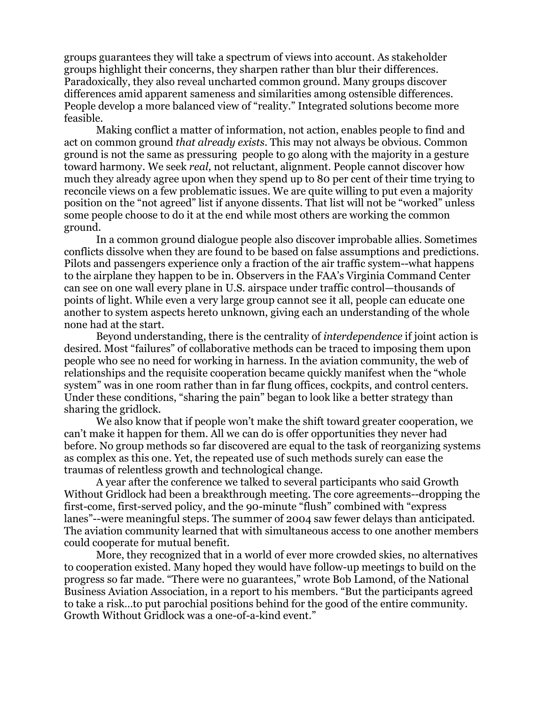groups guarantees they will take a spectrum of views into account. As stakeholder groups highlight their concerns, they sharpen rather than blur their differences. Paradoxically, they also reveal uncharted common ground. Many groups discover differences amid apparent sameness and similarities among ostensible differences. People develop a more balanced view of "reality." Integrated solutions become more feasible.

Making conflict a matter of information, not action, enables people to find and act on common ground *that already exists.* This may not always be obvious. Common ground is not the same as pressuring people to go along with the majority in a gesture toward harmony. We seek *real,* not reluctant, alignment. People cannot discover how much they already agree upon when they spend up to 80 per cent of their time trying to reconcile views on a few problematic issues. We are quite willing to put even a majority position on the "not agreed" list if anyone dissents. That list will not be "worked" unless some people choose to do it at the end while most others are working the common ground.

In a common ground dialogue people also discover improbable allies. Sometimes conflicts dissolve when they are found to be based on false assumptions and predictions. Pilots and passengers experience only a fraction of the air traffic system--what happens to the airplane they happen to be in. Observers in the FAA's Virginia Command Center can see on one wall every plane in U.S. airspace under traffic control—thousands of points of light. While even a very large group cannot see it all, people can educate one another to system aspects hereto unknown, giving each an understanding of the whole none had at the start.

Beyond understanding, there is the centrality of *interdependence* if joint action is desired. Most "failures" of collaborative methods can be traced to imposing them upon people who see no need for working in harness. In the aviation community, the web of relationships and the requisite cooperation became quickly manifest when the "whole system" was in one room rather than in far flung offices, cockpits, and control centers. Under these conditions, "sharing the pain" began to look like a better strategy than sharing the gridlock.

We also know that if people won't make the shift toward greater cooperation, we can't make it happen for them. All we can do is offer opportunities they never had before. No group methods so far discovered are equal to the task of reorganizing systems as complex as this one. Yet, the repeated use of such methods surely can ease the traumas of relentless growth and technological change.

A year after the conference we talked to several participants who said Growth Without Gridlock had been a breakthrough meeting. The core agreements--dropping the first-come, first-served policy, and the 90-minute "flush" combined with "express lanes"--were meaningful steps. The summer of 2004 saw fewer delays than anticipated. The aviation community learned that with simultaneous access to one another members could cooperate for mutual benefit.

More, they recognized that in a world of ever more crowded skies, no alternatives to cooperation existed. Many hoped they would have follow-up meetings to build on the progress so far made. "There were no guarantees," wrote Bob Lamond, of the National Business Aviation Association, in a report to his members. "But the participants agreed to take a risk…to put parochial positions behind for the good of the entire community. Growth Without Gridlock was a one-of-a-kind event."